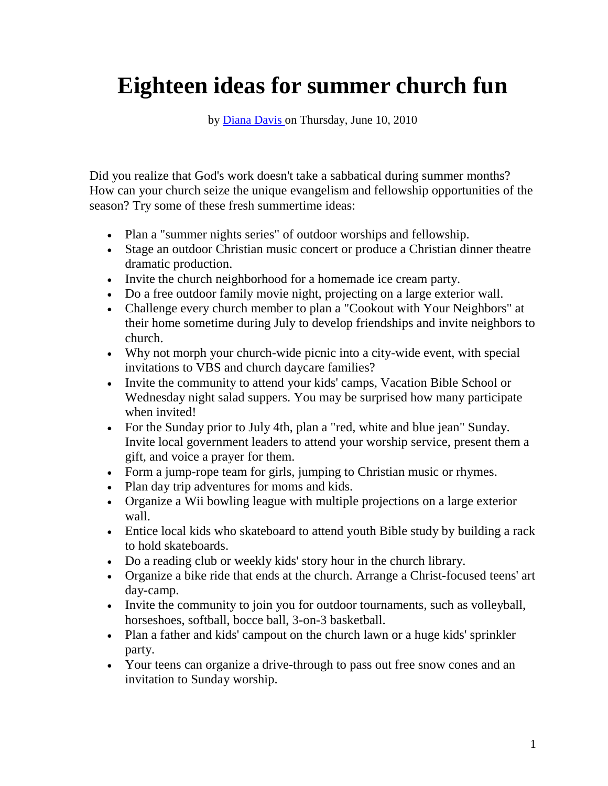## **Eighteen ideas for summer church fun**

by [Diana Davis o](http://www.lifeway.com/Article/Eighteen-ideas-for-summer-church-fun?EMID=CW-PastorsToday-20120514#author_bio_0)n Thursday, June 10, 2010

Did you realize that God's work doesn't take a sabbatical during summer months? How can your church seize the unique evangelism and fellowship opportunities of the season? Try some of these fresh summertime ideas:

- Plan a "summer nights series" of outdoor worships and fellowship.
- Stage an outdoor Christian music concert or produce a Christian dinner theatre dramatic production.
- Invite the church neighborhood for a homemade ice cream party.
- Do a free outdoor family movie night, projecting on a large exterior wall.
- Challenge every church member to plan a "Cookout with Your Neighbors" at their home sometime during July to develop friendships and invite neighbors to church.
- Why not morph your church-wide picnic into a city-wide event, with special invitations to VBS and church daycare families?
- Invite the community to attend your kids' camps, Vacation Bible School or Wednesday night salad suppers. You may be surprised how many participate when invited!
- For the Sunday prior to July 4th, plan a "red, white and blue jean" Sunday. Invite local government leaders to attend your worship service, present them a gift, and voice a prayer for them.
- Form a jump-rope team for girls, jumping to Christian music or rhymes.
- Plan day trip adventures for moms and kids.
- Organize a Wii bowling league with multiple projections on a large exterior wall.
- Entice local kids who skateboard to attend youth Bible study by building a rack to hold skateboards.
- Do a reading club or weekly kids' story hour in the church library.
- Organize a bike ride that ends at the church. Arrange a Christ-focused teens' art day-camp.
- Invite the community to join you for outdoor tournaments, such as volleyball, horseshoes, softball, bocce ball, 3-on-3 basketball.
- Plan a father and kids' campout on the church lawn or a huge kids' sprinkler party.
- Your teens can organize a drive-through to pass out free snow cones and an invitation to Sunday worship.